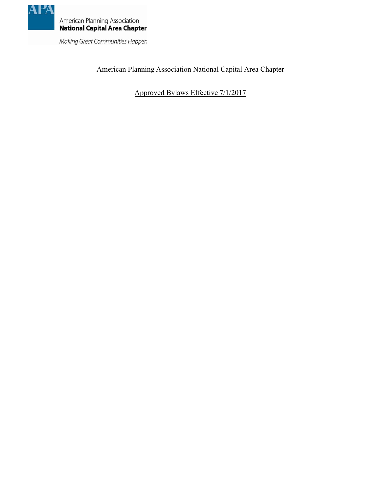

Making Great Communities Happen

American Planning Association National Capital Area Chapter

Approved Bylaws Effective 7/1/2017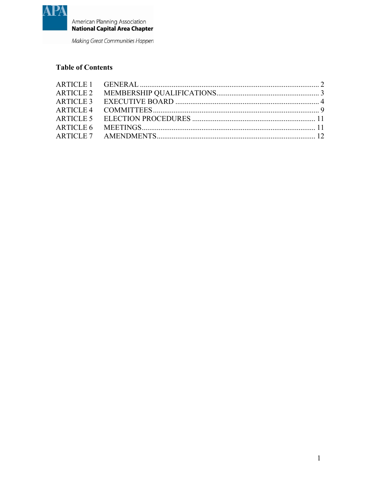

Making Great Communities Happen

# **Table of Contents**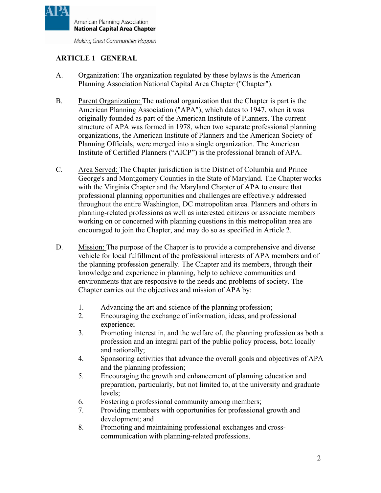

Making Great Communities Happen

# <span id="page-3-0"></span>**ARTICLE 1 GENERAL**

- A. Organization: The organization regulated by these bylaws is the American Planning Association National Capital Area Chapter ("Chapter").
- B. Parent Organization: The national organization that the Chapter is part is the American Planning Association ("APA"), which dates to 1947, when it was originally founded as part of the American Institute of Planners. The current structure of APA was formed in 1978, when two separate professional planning organizations, the American Institute of Planners and the American Society of Planning Officials, were merged into a single organization. The American Institute of Certified Planners ("AICP") is the professional branch of APA.
- C. Area Served: The Chapter jurisdiction is the District of Columbia and Prince George's and Montgomery Counties in the State of Maryland. The Chapter works with the Virginia Chapter and the Maryland Chapter of APA to ensure that professional planning opportunities and challenges are effectively addressed throughout the entire Washington, DC metropolitan area. Planners and others in planning-related professions as well as interested citizens or associate members working on or concerned with planning questions in this metropolitan area are encouraged to join the Chapter, and may do so as specified in Article 2.
- D. Mission: The purpose of the Chapter is to provide a comprehensive and diverse vehicle for local fulfillment of the professional interests of APA members and of the planning profession generally. The Chapter and its members, through their knowledge and experience in planning, help to achieve communities and environments that are responsive to the needs and problems of society. The Chapter carries out the objectives and mission of APA by:
	- 1. Advancing the art and science of the planning profession;
	- 2. Encouraging the exchange of information, ideas, and professional experience;
	- 3. Promoting interest in, and the welfare of, the planning profession as both a profession and an integral part of the public policy process, both locally and nationally;
	- 4. Sponsoring activities that advance the overall goals and objectives of APA and the planning profession;
	- 5. Encouraging the growth and enhancement of planning education and preparation, particularly, but not limited to, at the university and graduate levels;
	- 6. Fostering a professional community among members;
	- 7. Providing members with opportunities for professional growth and development; and
	- 8. Promoting and maintaining professional exchanges and crosscommunication with planning-related professions.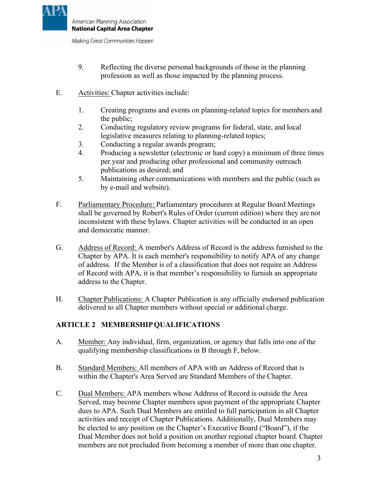

Making Great Communities Happen

- 9. Reflecting the diverse personal backgrounds of those in the planning profession as well as those impacted by the planning process.
- E. Activities: Chapter activities include:
	- 1. Creating programs and events on planning-related topics for members and the public;
	- 2. Conducting regulatory review programs for federal, state, and local legislative measures relating to planning-related topics;
	- 3. Conducting a regular awards program;
	- 4. Producing a newsletter (electronic or hard copy) a minimum of three times per year and producing other professional and community outreach publications as desired; and
	- 5. Maintaining other communications with members and the public (such as by e-mail and website).
- F. Parliamentary Procedure: Parliamentary procedures at Regular Board Meetings shall be governed by Robert's Rules of Order (current edition) where they are not inconsistent with these bylaws. Chapter activities will be conducted in an open and democratic manner.
- G. Address of Record: A member's Address of Record is the address furnished to the Chapter by APA. It is each member's responsibility to notify APA of any change of address. If the Member is of a classification that does not require an Address of Record with APA, it is that member's responsibility to furnish an appropriate address to the Chapter.
- H. Chapter Publications: A Chapter Publication is any officially endorsed publication delivered to all Chapter members without special or additional charge.

## <span id="page-4-0"></span>**ARTICLE 2 MEMBERSHIPQUALIFICATIONS**

- A. Member: Any individual, firm, organization, or agency that falls into one of the qualifying membership classifications in B through F, below.
- B. Standard Members: All members of APA with an Address of Record that is within the Chapter's Area Served are Standard Members of the Chapter.
- C. Dual Members: APA members whose Address of Record is outside the Area Served, may become Chapter members upon payment of the appropriate Chapter dues to APA. Such Dual Members are entitled to full participation in all Chapter activities and receipt of Chapter Publications. Additionally, Dual Members may be elected to any position on the Chapter's Executive Board ("Board"), if the Dual Member does not hold a position on another regional chapter board. Chapter members are not precluded from becoming a member of more than one chapter.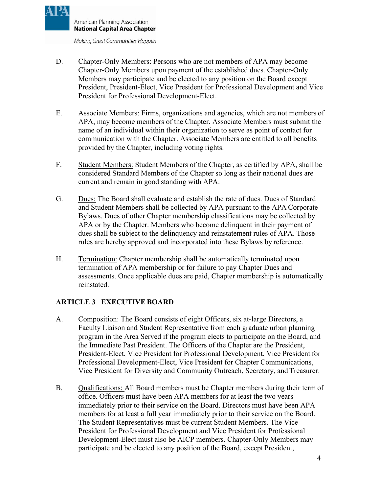Making Great Communities Happen

- D. Chapter-Only Members: Persons who are not members of APA may become Chapter-Only Members upon payment of the established dues. Chapter-Only Members may participate and be elected to any position on the Board except President, President-Elect, Vice President for Professional Development and Vice President for Professional Development-Elect.
- E. Associate Members: Firms, organizations and agencies, which are not members of APA, may become members of the Chapter. Associate Members must submit the name of an individual within their organization to serve as point of contact for communication with the Chapter. Associate Members are entitled to all benefits provided by the Chapter, including voting rights.
- F. Student Members: Student Members of the Chapter, as certified by APA, shall be considered Standard Members of the Chapter so long as their national dues are current and remain in good standing with APA.
- G. Dues: The Board shall evaluate and establish the rate of dues. Dues of Standard and Student Members shall be collected by APA pursuant to the APA Corporate Bylaws. Dues of other Chapter membership classifications may be collected by APA or by the Chapter. Members who become delinquent in their payment of dues shall be subject to the delinquency and reinstatement rules of APA. Those rules are hereby approved and incorporated into these Bylaws by reference.
- H. Termination: Chapter membership shall be automatically terminated upon termination of APA membership or for failure to pay Chapter Dues and assessments. Once applicable dues are paid, Chapter membership is automatically reinstated.

## <span id="page-5-0"></span>**ARTICLE 3 EXECUTIVE BOARD**

- A. Composition: The Board consists of eight Officers, six at-large Directors, a Faculty Liaison and Student Representative from each graduate urban planning program in the Area Served if the program elects to participate on the Board, and the Immediate Past President. The Officers of the Chapter are the President, President-Elect, Vice President for Professional Development, Vice President for Professional Development-Elect, Vice President for Chapter Communications, Vice President for Diversity and Community Outreach, Secretary, and Treasurer.
- B. Qualifications: All Board members must be Chapter members during their term of office. Officers must have been APA members for at least the two years immediately prior to their service on the Board. Directors must have been APA members for at least a full year immediately prior to their service on the Board. The Student Representatives must be current Student Members. The Vice President for Professional Development and Vice President for Professional Development-Elect must also be AICP members. Chapter-Only Members may participate and be elected to any position of the Board, except President,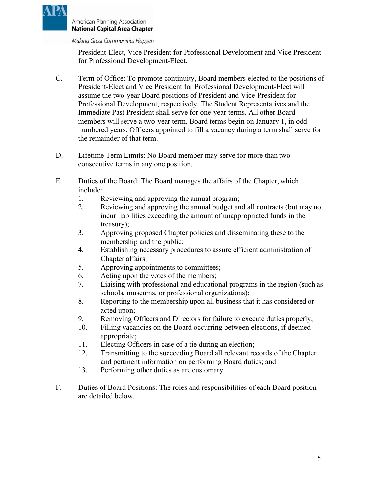

Making Great Communities Happen

President-Elect, Vice President for Professional Development and Vice President for Professional Development-Elect.

- C. Term of Office: To promote continuity, Board members elected to the positions of President-Elect and Vice President for Professional Development-Elect will assume the two-year Board positions of President and Vice-President for Professional Development, respectively. The Student Representatives and the Immediate Past President shall serve for one-year terms. All other Board members will serve a two-year term. Board terms begin on January 1, in oddnumbered years. Officers appointed to fill a vacancy during a term shall serve for the remainder of that term.
- D. Lifetime Term Limits: No Board member may serve for more than two consecutive terms in any one position.
- E. Duties of the Board: The Board manages the affairs of the Chapter, which include:
	- 1. Reviewing and approving the annual program;
	- 2. Reviewing and approving the annual budget and all contracts (but may not incur liabilities exceeding the amount of unappropriated funds in the treasury);
	- 3. Approving proposed Chapter policies and disseminating these to the membership and the public;
	- 4. Establishing necessary procedures to assure efficient administration of Chapter affairs;
	- 5. Approving appointments to committees;
	- 6. Acting upon the votes of the members;
	- 7. Liaising with professional and educational programs in the region (such as schools, museums, or professional organizations);
	- 8. Reporting to the membership upon all business that it has considered or acted upon;
	- 9. Removing Officers and Directors for failure to execute duties properly;
	- 10. Filling vacancies on the Board occurring between elections, if deemed appropriate;
	- 11. Electing Officers in case of a tie during an election;
	- 12. Transmitting to the succeeding Board all relevant records of the Chapter and pertinent information on performing Board duties; and
	- 13. Performing other duties as are customary.
- F. Duties of Board Positions: The roles and responsibilities of each Board position are detailed below.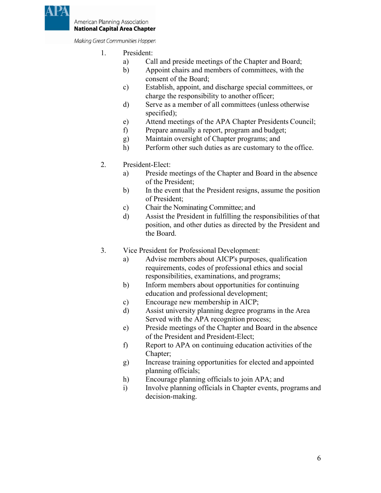

Making Great Communities Happen

- 1. President:
	- a) Call and preside meetings of the Chapter and Board;
	- b) Appoint chairs and members of committees, with the consent of the Board;
	- c) Establish, appoint, and discharge special committees, or charge the responsibility to another officer;
	- d) Serve as a member of all committees (unless otherwise specified);
	- e) Attend meetings of the APA Chapter Presidents Council;
	- f) Prepare annually a report, program and budget;
	- g) Maintain oversight of Chapter programs; and
	- h) Perform other such duties as are customary to the office.
- 2. President-Elect:
	- a) Preside meetings of the Chapter and Board in the absence of the President;
	- b) In the event that the President resigns, assume the position of President;
	- c) Chair the Nominating Committee; and
	- d) Assist the President in fulfilling the responsibilities of that position, and other duties as directed by the President and the Board.
- 3. Vice President for Professional Development:
	- a) Advise members about AICP's purposes, qualification requirements, codes of professional ethics and social responsibilities, examinations, and programs;
	- b) Inform members about opportunities for continuing education and professional development;
	- c) Encourage new membership in AICP;
	- d) Assist university planning degree programs in the Area Served with the APA recognition process;
	- e) Preside meetings of the Chapter and Board in the absence of the President and President-Elect;
	- f) Report to APA on continuing education activities of the Chapter;
	- g) Increase training opportunities for elected and appointed planning officials;
	- h) Encourage planning officials to join APA; and
	- i) Involve planning officials in Chapter events, programs and decision-making.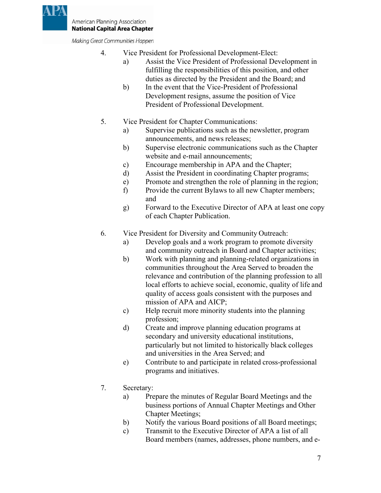

Making Great Communities Happen

- 4. Vice President for Professional Development-Elect:
	- a) Assist the Vice President of Professional Development in fulfilling the responsibilities of this position, and other duties as directed by the President and the Board; and
	- b) In the event that the Vice-President of Professional Development resigns, assume the position of Vice President of Professional Development.
- 5. Vice President for Chapter Communications:
	- a) Supervise publications such as the newsletter, program announcements, and news releases;
	- b) Supervise electronic communications such as the Chapter website and e-mail announcements;
	- c) Encourage membership in APA and the Chapter;
	- d) Assist the President in coordinating Chapter programs;
	- e) Promote and strengthen the role of planning in the region;
	- f) Provide the current Bylaws to all new Chapter members; and
	- g) Forward to the Executive Director of APA at least one copy of each Chapter Publication.
- 6. Vice President for Diversity and Community Outreach:
	- a) Develop goals and a work program to promote diversity and community outreach in Board and Chapter activities;
	- b) Work with planning and planning-related organizations in communities throughout the Area Served to broaden the relevance and contribution of the planning profession to all local efforts to achieve social, economic, quality of life and quality of access goals consistent with the purposes and mission of APA and AICP;
	- c) Help recruit more minority students into the planning profession;
	- d) Create and improve planning education programs at secondary and university educational institutions, particularly but not limited to historically black colleges and universities in the Area Served; and
	- e) Contribute to and participate in related cross-professional programs and initiatives.
- 7. Secretary:
	- a) Prepare the minutes of Regular Board Meetings and the business portions of Annual Chapter Meetings and Other Chapter Meetings;
	- b) Notify the various Board positions of all Board meetings;
	- c) Transmit to the Executive Director of APA a list of all Board members (names, addresses, phone numbers, and e-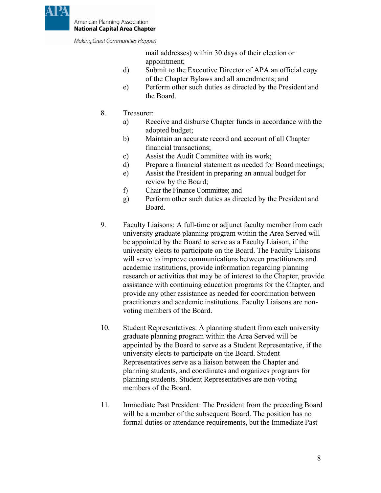

Making Great Communities Happen

mail addresses) within 30 days of their election or appointment;

- d) Submit to the Executive Director of APA an official copy of the Chapter Bylaws and all amendments; and
- e) Perform other such duties as directed by the President and the Board.
- 8. Treasurer:
	- a) Receive and disburse Chapter funds in accordance with the adopted budget;
	- b) Maintain an accurate record and account of all Chapter financial transactions;
	- c) Assist the Audit Committee with its work;
	- d) Prepare a financial statement as needed for Board meetings;
	- e) Assist the President in preparing an annual budget for review by the Board;
	- f) Chair the Finance Committee; and
	- g) Perform other such duties as directed by the President and Board.
- 9. Faculty Liaisons: A full-time or adjunct faculty member from each university graduate planning program within the Area Served will be appointed by the Board to serve as a Faculty Liaison, if the university elects to participate on the Board. The Faculty Liaisons will serve to improve communications between practitioners and academic institutions, provide information regarding planning research or activities that may be of interest to the Chapter, provide assistance with continuing education programs for the Chapter, and provide any other assistance as needed for coordination between practitioners and academic institutions. Faculty Liaisons are nonvoting members of the Board.
- 10. Student Representatives: A planning student from each university graduate planning program within the Area Served will be appointed by the Board to serve as a Student Representative, if the university elects to participate on the Board. Student Representatives serve as a liaison between the Chapter and planning students, and coordinates and organizes programs for planning students. Student Representatives are non-voting members of the Board.
- 11. Immediate Past President: The President from the preceding Board will be a member of the subsequent Board. The position has no formal duties or attendance requirements, but the Immediate Past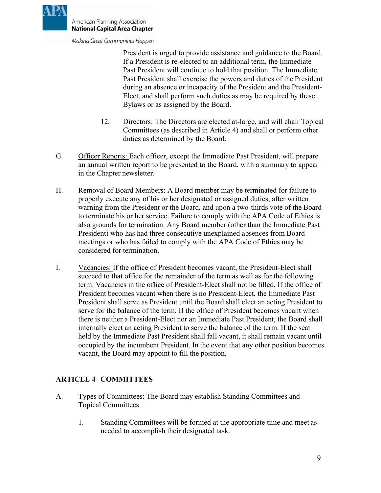

Making Great Communities Happen

President is urged to provide assistance and guidance to the Board. If a President is re-elected to an additional term, the Immediate Past President will continue to hold that position. The Immediate Past President shall exercise the powers and duties of the President during an absence or incapacity of the President and the President-Elect, and shall perform such duties as may be required by these Bylaws or as assigned by the Board.

- 12. Directors: The Directors are elected at-large, and will chair Topical Committees (as described in Article 4) and shall or perform other duties as determined by the Board.
- G. Officer Reports: Each officer, except the Immediate Past President, will prepare an annual written report to be presented to the Board, with a summary to appear in the Chapter newsletter.
- H. Removal of Board Members: A Board member may be terminated for failure to properly execute any of his or her designated or assigned duties, after written warning from the President or the Board, and upon a two-thirds vote of the Board to terminate his or her service. Failure to comply with the APA Code of Ethics is also grounds for termination. Any Board member (other than the Immediate Past President) who has had three consecutive unexplained absences from Board meetings or who has failed to comply with the APA Code of Ethics may be considered for termination.
- I. Vacancies: If the office of President becomes vacant, the President-Elect shall succeed to that office for the remainder of the term as well as for the following term. Vacancies in the office of President-Elect shall not be filled. If the office of President becomes vacant when there is no President-Elect, the Immediate Past President shall serve as President until the Board shall elect an acting President to serve for the balance of the term. If the office of President becomes vacant when there is neither a President-Elect nor an Immediate Past President, the Board shall internally elect an acting President to serve the balance of the term. If the seat held by the Immediate Past President shall fall vacant, it shall remain vacant until occupied by the incumbent President. In the event that any other position becomes vacant, the Board may appoint to fill the position.

## <span id="page-10-0"></span>**ARTICLE 4 COMMITTEES**

- A. Types of Committees: The Board may establish Standing Committees and Topical Committees.
	- 1. Standing Committees will be formed at the appropriate time and meet as needed to accomplish their designated task.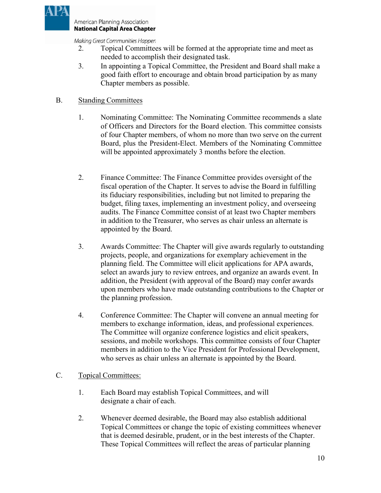

Making Great Communities Happen

- 2. Topical Committees will be formed at the appropriate time and meet as needed to accomplish their designated task.
- 3. In appointing a Topical Committee, the President and Board shall make a good faith effort to encourage and obtain broad participation by as many Chapter members as possible.

# B. Standing Committees

- 1. Nominating Committee: The Nominating Committee recommends a slate of Officers and Directors for the Board election. This committee consists of four Chapter members, of whom no more than two serve on the current Board, plus the President-Elect. Members of the Nominating Committee will be appointed approximately 3 months before the election.
- 2. Finance Committee: The Finance Committee provides oversight of the fiscal operation of the Chapter. It serves to advise the Board in fulfilling its fiduciary responsibilities, including but not limited to preparing the budget, filing taxes, implementing an investment policy, and overseeing audits. The Finance Committee consist of at least two Chapter members in addition to the Treasurer, who serves as chair unless an alternate is appointed by the Board.
- 3. Awards Committee: The Chapter will give awards regularly to outstanding projects, people, and organizations for exemplary achievement in the planning field. The Committee will elicit applications for APA awards, select an awards jury to review entrees, and organize an awards event. In addition, the President (with approval of the Board) may confer awards upon members who have made outstanding contributions to the Chapter or the planning profession.
- 4. Conference Committee: The Chapter will convene an annual meeting for members to exchange information, ideas, and professional experiences. The Committee will organize conference logistics and elicit speakers, sessions, and mobile workshops. This committee consists of four Chapter members in addition to the Vice President for Professional Development, who serves as chair unless an alternate is appointed by the Board.

## C. Topical Committees:

- 1. Each Board may establish Topical Committees, and will designate a chair of each.
- 2. Whenever deemed desirable, the Board may also establish additional Topical Committees or change the topic of existing committees whenever that is deemed desirable, prudent, or in the best interests of the Chapter. These Topical Committees will reflect the areas of particular planning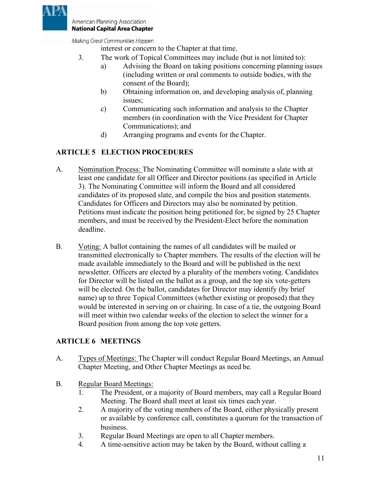

Making Great Communities Happen

interest or concern to the Chapter at that time.

- 3. The work of Topical Committees may include (but is not limited to):
	- a) Advising the Board on taking positions concerning planning issues (including written or oral comments to outside bodies, with the consent of the Board);
	- b) Obtaining information on, and developing analysis of, planning issues;
	- c) Communicating such information and analysis to the Chapter members (in coordination with the Vice President for Chapter Communications); and
	- d) Arranging programs and events for the Chapter.

# <span id="page-12-0"></span>**ARTICLE 5 ELECTION PROCEDURES**

- A. Nomination Process: The Nominating Committee will nominate a slate with at least one candidate for all Officer and Director positions (as specified in Article 3). The Nominating Committee will inform the Board and all considered candidates of its proposed slate, and compile the bios and position statements. Candidates for Officers and Directors may also be nominated by petition. Petitions must indicate the position being petitioned for, be signed by 25 Chapter members, and must be received by the President-Elect before the nomination deadline.
- B. Voting: A ballot containing the names of all candidates will be mailed or transmitted electronically to Chapter members. The results of the election will be made available immediately to the Board and will be published in the next newsletter. Officers are elected by a plurality of the members voting. Candidates for Director will be listed on the ballot as a group, and the top six vote-getters will be elected. On the ballot, candidates for Director may identify (by brief name) up to three Topical Committees (whether existing or proposed) that they would be interested in serving on or chairing. In case of a tie, the outgoing Board will meet within two calendar weeks of the election to select the winner for a Board position from among the top vote getters.

## <span id="page-12-1"></span>**ARTICLE 6 MEETINGS**

- A. Types of Meetings: The Chapter will conduct Regular Board Meetings, an Annual Chapter Meeting, and Other Chapter Meetings as need be.
- B. Regular Board Meetings:
	- 1. The President, or a majority of Board members, may call a Regular Board Meeting. The Board shall meet at least six times each year.
	- 2. A majority of the voting members of the Board, either physically present or available by conference call, constitutes a quorum for the transaction of business.
	- 3. Regular Board Meetings are open to all Chapter members.
	- 4. A time-sensitive action may be taken by the Board, without calling a